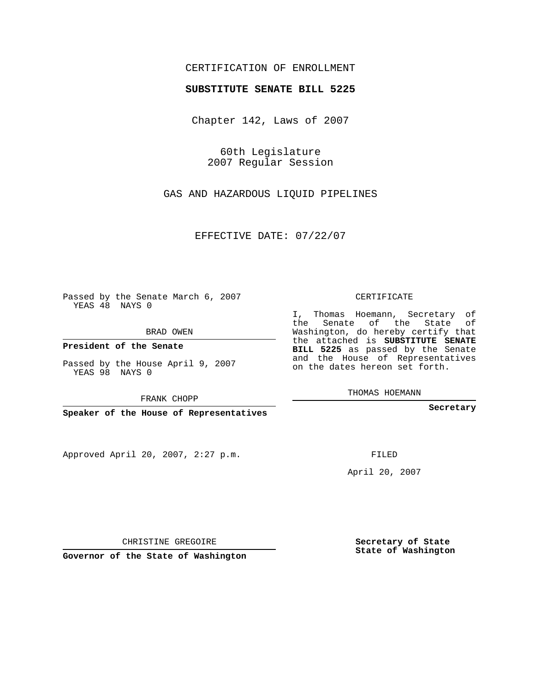## CERTIFICATION OF ENROLLMENT

#### **SUBSTITUTE SENATE BILL 5225**

Chapter 142, Laws of 2007

60th Legislature 2007 Regular Session

GAS AND HAZARDOUS LIQUID PIPELINES

EFFECTIVE DATE: 07/22/07

Passed by the Senate March 6, 2007 YEAS 48 NAYS 0

BRAD OWEN

**President of the Senate**

Passed by the House April 9, 2007 YEAS 98 NAYS 0

FRANK CHOPP

**Speaker of the House of Representatives**

Approved April 20, 2007, 2:27 p.m.

CERTIFICATE

I, Thomas Hoemann, Secretary of the Senate of the State of Washington, do hereby certify that the attached is **SUBSTITUTE SENATE BILL 5225** as passed by the Senate and the House of Representatives on the dates hereon set forth.

**Secretary**

FILED

April 20, 2007

**Secretary of State State of Washington**

**Governor of the State of Washington**

CHRISTINE GREGOIRE

THOMAS HOEMANN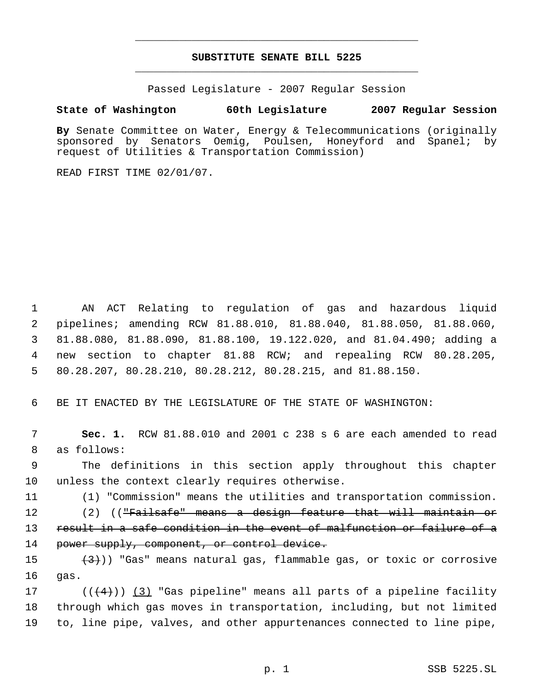## **SUBSTITUTE SENATE BILL 5225** \_\_\_\_\_\_\_\_\_\_\_\_\_\_\_\_\_\_\_\_\_\_\_\_\_\_\_\_\_\_\_\_\_\_\_\_\_\_\_\_\_\_\_\_\_

\_\_\_\_\_\_\_\_\_\_\_\_\_\_\_\_\_\_\_\_\_\_\_\_\_\_\_\_\_\_\_\_\_\_\_\_\_\_\_\_\_\_\_\_\_

Passed Legislature - 2007 Regular Session

#### **State of Washington 60th Legislature 2007 Regular Session**

**By** Senate Committee on Water, Energy & Telecommunications (originally sponsored by Senators Oemig, Poulsen, Honeyford and Spanel; by request of Utilities & Transportation Commission)

READ FIRST TIME 02/01/07.

 AN ACT Relating to regulation of gas and hazardous liquid pipelines; amending RCW 81.88.010, 81.88.040, 81.88.050, 81.88.060, 81.88.080, 81.88.090, 81.88.100, 19.122.020, and 81.04.490; adding a new section to chapter 81.88 RCW; and repealing RCW 80.28.205, 80.28.207, 80.28.210, 80.28.212, 80.28.215, and 81.88.150.

6 BE IT ENACTED BY THE LEGISLATURE OF THE STATE OF WASHINGTON:

 7 **Sec. 1.** RCW 81.88.010 and 2001 c 238 s 6 are each amended to read 8 as follows:

 9 The definitions in this section apply throughout this chapter 10 unless the context clearly requires otherwise.

11 (1) "Commission" means the utilities and transportation commission.

12 (2) ((<del>"Failsafe" means a design feature that will maintain or</del> 13 result in a safe condition in the event of malfunction or failure of a 14 power supply, component, or control device.

15  $(3)$ ) "Gas" means natural gas, flammable gas, or toxic or corrosive 16 gas.

17 ( $(\overline{\langle 4 \rangle})$  (3) "Gas pipeline" means all parts of a pipeline facility 18 through which gas moves in transportation, including, but not limited 19 to, line pipe, valves, and other appurtenances connected to line pipe,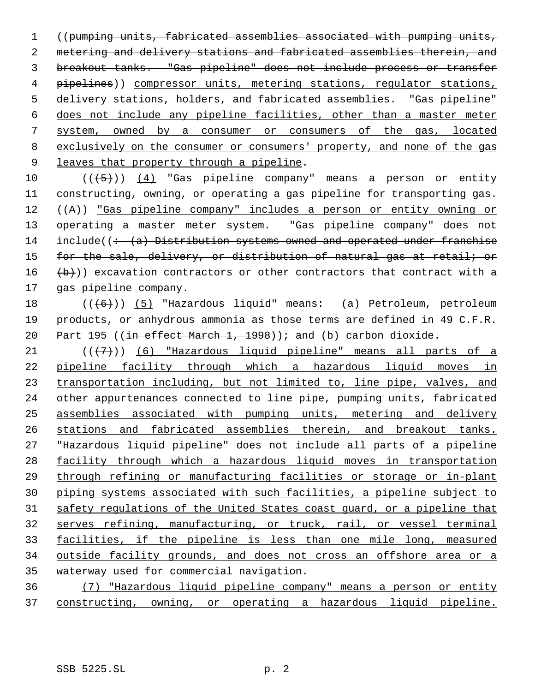((pumping units, fabricated assemblies associated with pumping units, metering and delivery stations and fabricated assemblies therein, and breakout tanks. "Gas pipeline" does not include process or transfer 4 pipelines)) compressor units, metering stations, regulator stations, delivery stations, holders, and fabricated assemblies. "Gas pipeline" does not include any pipeline facilities, other than a master meter system, owned by a consumer or consumers of the gas, located exclusively on the consumer or consumers' property, and none of the gas 9 leaves that property through a pipeline.

 $((+5))$  (4) "Gas pipeline company" means a person or entity constructing, owning, or operating a gas pipeline for transporting gas. ((A)) "Gas pipeline company" includes a person or entity owning or 13 operating a master meter system. "Gas pipeline company" does not 14 include( $\left(-\frac{1}{2} + \frac{1}{2}\right)$  Distribution systems owned and operated under franchise 15 for the sale, delivery, or distribution of natural gas at retail; or  $(b)$ ) excavation contractors or other contractors that contract with a gas pipeline company.

18 (((6)) (5) "Hazardous liquid" means: (a) Petroleum, petroleum products, or anhydrous ammonia as those terms are defined in 49 C.F.R. 20 Part 195 (( $\frac{1}{10}$  effect March 1, 1998)); and (b) carbon dioxide.

 $((+7))$  (6) "Hazardous liquid pipeline" means all parts of a pipeline facility through which a hazardous liquid moves in 23 transportation including, but not limited to, line pipe, valves, and other appurtenances connected to line pipe, pumping units, fabricated assemblies associated with pumping units, metering and delivery stations and fabricated assemblies therein, and breakout tanks. "Hazardous liquid pipeline" does not include all parts of a pipeline facility through which a hazardous liquid moves in transportation through refining or manufacturing facilities or storage or in-plant piping systems associated with such facilities, a pipeline subject to safety regulations of the United States coast guard, or a pipeline that serves refining, manufacturing, or truck, rail, or vessel terminal facilities, if the pipeline is less than one mile long, measured outside facility grounds, and does not cross an offshore area or a waterway used for commercial navigation.

 (7) "Hazardous liquid pipeline company" means a person or entity constructing, owning, or operating a hazardous liquid pipeline.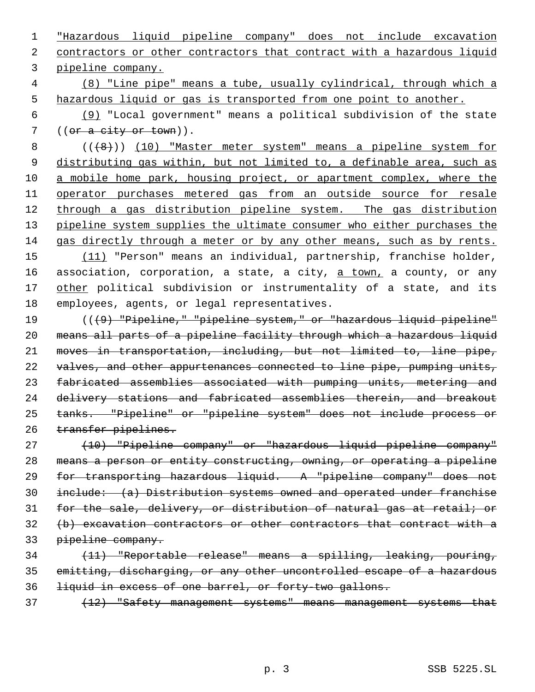"Hazardous liquid pipeline company" does not include excavation 2 contractors or other contractors that contract with a hazardous liquid pipeline company.

 (8) "Line pipe" means a tube, usually cylindrical, through which a hazardous liquid or gas is transported from one point to another.

 (9) "Local government" means a political subdivision of the state 7 ((or a city or town)).

8 (((8))) (10) "Master meter system" means a pipeline system for 9 distributing gas within, but not limited to, a definable area, such as 10 a mobile home park, housing project, or apartment complex, where the operator purchases metered gas from an outside source for resale 12 through a gas distribution pipeline system. The gas distribution 13 pipeline system supplies the ultimate consumer who either purchases the gas directly through a meter or by any other means, such as by rents.

 (11) "Person" means an individual, partnership, franchise holder, 16 association, corporation, a state, a city, a town, a county, or any 17 other political subdivision or instrumentality of a state, and its employees, agents, or legal representatives.

 (((9) "Pipeline," "pipeline system," or "hazardous liquid pipeline" means all parts of a pipeline facility through which a hazardous liquid moves in transportation, including, but not limited to, line pipe, 22 valves, and other appurtenances connected to line pipe, pumping units, fabricated assemblies associated with pumping units, metering and delivery stations and fabricated assemblies therein, and breakout tanks. "Pipeline" or "pipeline system" does not include process or 26 transfer pipelines.

 (10) "Pipeline company" or "hazardous liquid pipeline company" means a person or entity constructing, owning, or operating a pipeline for transporting hazardous liquid. A "pipeline company" does not include: (a) Distribution systems owned and operated under franchise for the sale, delivery, or distribution of natural gas at retail; or (b) excavation contractors or other contractors that contract with a pipeline company.

 (11) "Reportable release" means a spilling, leaking, pouring, emitting, discharging, or any other uncontrolled escape of a hazardous liquid in excess of one barrel, or forty-two gallons.

(12) "Safety management systems" means management systems that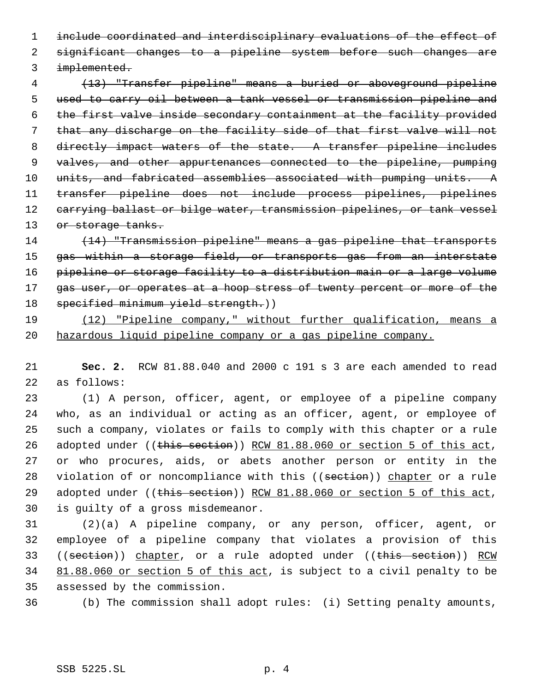include coordinated and interdisciplinary evaluations of the effect of significant changes to a pipeline system before such changes are implemented.

 (13) "Transfer pipeline" means a buried or aboveground pipeline used to carry oil between a tank vessel or transmission pipeline and the first valve inside secondary containment at the facility provided that any discharge on the facility side of that first valve will not 8 directly impact waters of the state. A transfer pipeline includes valves, and other appurtenances connected to the pipeline, pumping 10 units, and fabricated assemblies associated with pumping units. A transfer pipeline does not include process pipelines, pipelines 12 carrying ballast or bilge water, transmission pipelines, or tank vessel 13 or storage tanks.

 (14) "Transmission pipeline" means a gas pipeline that transports 15 gas within a storage field, or transports gas from an interstate pipeline or storage facility to a distribution main or a large volume 17 gas user, or operates at a hoop stress of twenty percent or more of the 18 specified minimum yield strength.))

# (12) "Pipeline company," without further qualification, means a hazardous liquid pipeline company or a gas pipeline company.

 **Sec. 2.** RCW 81.88.040 and 2000 c 191 s 3 are each amended to read as follows:

 (1) A person, officer, agent, or employee of a pipeline company who, as an individual or acting as an officer, agent, or employee of such a company, violates or fails to comply with this chapter or a rule 26 adopted under ((this section)) RCW 81.88.060 or section 5 of this act, or who procures, aids, or abets another person or entity in the 28 violation of or noncompliance with this ((section)) chapter or a rule 29 adopted under ((this section)) RCW 81.88.060 or section 5 of this act, is guilty of a gross misdemeanor.

 (2)(a) A pipeline company, or any person, officer, agent, or employee of a pipeline company that violates a provision of this 33 ((section)) chapter, or a rule adopted under ((this section)) RCW 34 81.88.060 or section 5 of this act, is subject to a civil penalty to be assessed by the commission.

(b) The commission shall adopt rules: (i) Setting penalty amounts,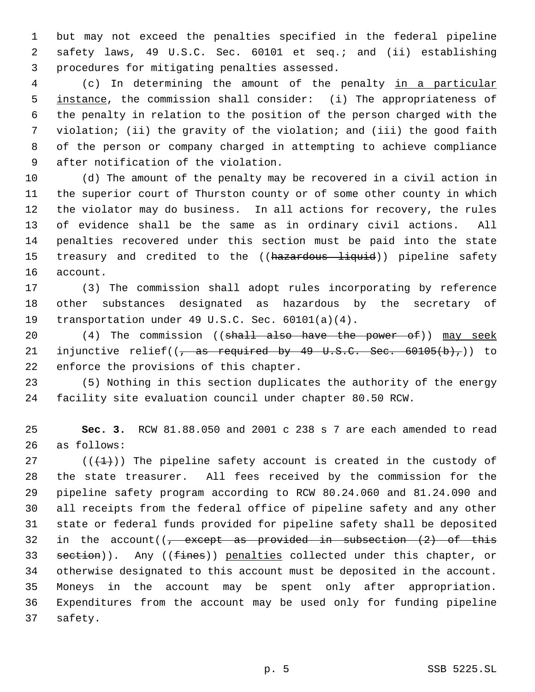but may not exceed the penalties specified in the federal pipeline safety laws, 49 U.S.C. Sec. 60101 et seq.; and (ii) establishing procedures for mitigating penalties assessed.

 (c) In determining the amount of the penalty in a particular 5 instance, the commission shall consider: (i) The appropriateness of the penalty in relation to the position of the person charged with the violation; (ii) the gravity of the violation; and (iii) the good faith of the person or company charged in attempting to achieve compliance after notification of the violation.

 (d) The amount of the penalty may be recovered in a civil action in the superior court of Thurston county or of some other county in which the violator may do business. In all actions for recovery, the rules of evidence shall be the same as in ordinary civil actions. All penalties recovered under this section must be paid into the state 15 treasury and credited to the ((hazardous liquid)) pipeline safety account.

 (3) The commission shall adopt rules incorporating by reference other substances designated as hazardous by the secretary of transportation under 49 U.S.C. Sec. 60101(a)(4).

20 (4) The commission ((shall also have the power of)) may seek 21 injunctive relief( $\left($ , as required by 49 U.S.C. Sec. 60105(b),)) to enforce the provisions of this chapter.

 (5) Nothing in this section duplicates the authority of the energy facility site evaluation council under chapter 80.50 RCW.

 **Sec. 3.** RCW 81.88.050 and 2001 c 238 s 7 are each amended to read as follows:

27 ( $(\overline{+1})$ ) The pipeline safety account is created in the custody of the state treasurer. All fees received by the commission for the pipeline safety program according to RCW 80.24.060 and 81.24.090 and all receipts from the federal office of pipeline safety and any other state or federal funds provided for pipeline safety shall be deposited 32 in the account( $\sqrt{7}$  except as provided in subsection  $(2)$  of this 33 section)). Any ((fines)) penalties collected under this chapter, or otherwise designated to this account must be deposited in the account. Moneys in the account may be spent only after appropriation. Expenditures from the account may be used only for funding pipeline safety.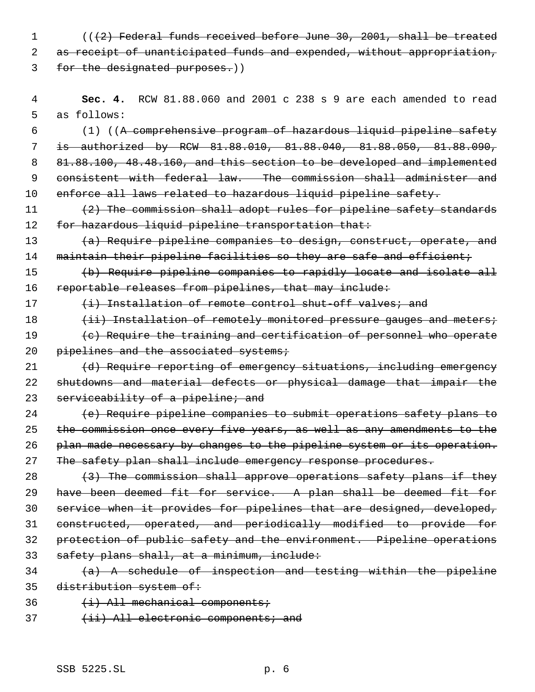1 (((2) Federal funds received before June 30, 2001, shall be treated 2 as receipt of unanticipated funds and expended, without appropriation, 3 for the designated purposes.))

 4 **Sec. 4.** RCW 81.88.060 and 2001 c 238 s 9 are each amended to read 5 as follows:

 (1) ((A comprehensive program of hazardous liquid pipeline safety is authorized by RCW 81.88.010, 81.88.040, 81.88.050, 81.88.090, 81.88.100, 48.48.160, and this section to be developed and implemented 9 consistent with federal law. The commission shall administer and enforce all laws related to hazardous liquid pipeline safety.

11 (2) The commission shall adopt rules for pipeline safety standards 12 for hazardous liquid pipeline transportation that:

13 (a) Require pipeline companies to design, construct, operate, and 14 maintain their pipeline facilities so they are safe and efficient;

15 (b) Require pipeline companies to rapidly locate and isolate all 16 reportable releases from pipelines, that may include:

17 (i) Installation of remote control shut-off valves; and

18 (ii) Installation of remotely monitored pressure gauges and meters;

19 (c) Require the training and certification of personnel who operate 20 pipelines and the associated systems;

21 (d) Require reporting of emergency situations, including emergency 22 shutdowns and material defects or physical damage that impair the 23 serviceability of a pipeline; and

24 (e) Require pipeline companies to submit operations safety plans to 25 the commission once every five years, as well as any amendments to the 26 plan made necessary by changes to the pipeline system or its operation. 27 The safety plan shall include emergency response procedures.

 $(3)$  The commission shall approve operations safety plans if they 29 have been deemed fit for service. A plan shall be deemed fit for service when it provides for pipelines that are designed, developed, constructed, operated, and periodically modified to provide for protection of public safety and the environment. Pipeline operations 33 safety plans shall, at a minimum, include:

- $34$  (a) A schedule of inspection and testing within the pipeline 35 distribution system of:
- 36 (i) All mechanical components;
- 37 (ii) All electronic components; and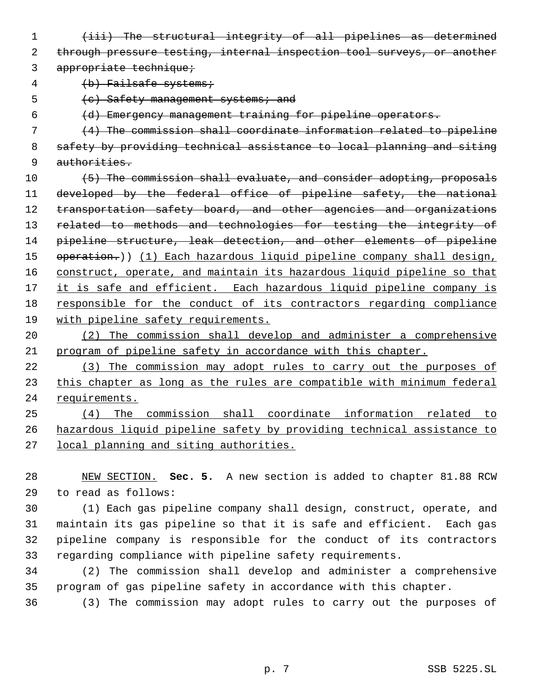(iii) The structural integrity of all pipelines as determined through pressure testing, internal inspection tool surveys, or another

3 appropriate technique;

4 (b) Failsafe systems;

5 (c) Safety management systems; and

(d) Emergency management training for pipeline operators.

 (4) The commission shall coordinate information related to pipeline safety by providing technical assistance to local planning and siting authorities.

 $(5)$  The commission shall evaluate, and consider adopting, proposals 11 developed by the federal office of pipeline safety, the national 12 transportation safety board, and other agencies and organizations 13 related to methods and technologies for testing the integrity of pipeline structure, leak detection, and other elements of pipeline 15 operation.)) (1) Each hazardous liquid pipeline company shall design, construct, operate, and maintain its hazardous liquid pipeline so that 17 it is safe and efficient. Each hazardous liquid pipeline company is responsible for the conduct of its contractors regarding compliance with pipeline safety requirements.

 (2) The commission shall develop and administer a comprehensive program of pipeline safety in accordance with this chapter.

 (3) The commission may adopt rules to carry out the purposes of 23 this chapter as long as the rules are compatible with minimum federal requirements.

 (4) The commission shall coordinate information related to hazardous liquid pipeline safety by providing technical assistance to local planning and siting authorities.

 NEW SECTION. **Sec. 5.** A new section is added to chapter 81.88 RCW to read as follows:

 (1) Each gas pipeline company shall design, construct, operate, and maintain its gas pipeline so that it is safe and efficient. Each gas pipeline company is responsible for the conduct of its contractors regarding compliance with pipeline safety requirements.

 (2) The commission shall develop and administer a comprehensive program of gas pipeline safety in accordance with this chapter.

(3) The commission may adopt rules to carry out the purposes of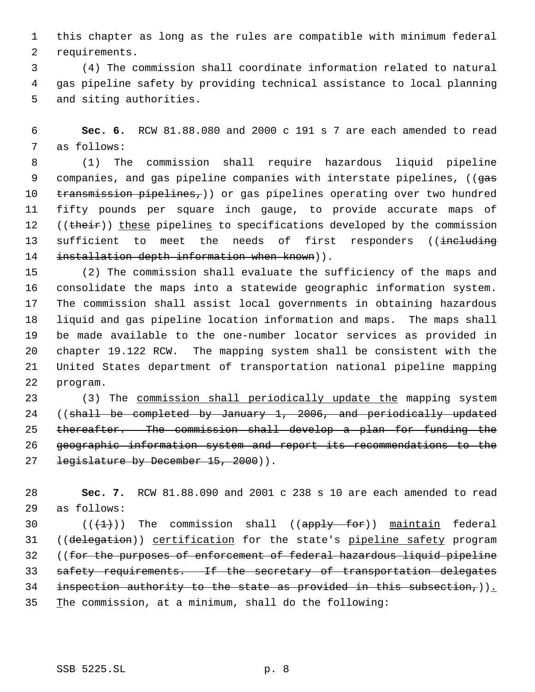this chapter as long as the rules are compatible with minimum federal requirements.

 (4) The commission shall coordinate information related to natural gas pipeline safety by providing technical assistance to local planning and siting authorities.

 **Sec. 6.** RCW 81.88.080 and 2000 c 191 s 7 are each amended to read as follows:

 (1) The commission shall require hazardous liquid pipeline 9 companies, and gas pipeline companies with interstate pipelines, ((gas 10  $transmission pipelines<sub>r</sub>)$  or gas pipelines operating over two hundred fifty pounds per square inch gauge, to provide accurate maps of 12 ((their)) these pipelines to specifications developed by the commission 13 sufficient to meet the needs of first responders ((including 14 installation depth information when known)).

 (2) The commission shall evaluate the sufficiency of the maps and consolidate the maps into a statewide geographic information system. The commission shall assist local governments in obtaining hazardous liquid and gas pipeline location information and maps. The maps shall be made available to the one-number locator services as provided in chapter 19.122 RCW. The mapping system shall be consistent with the United States department of transportation national pipeline mapping program.

 (3) The commission shall periodically update the mapping system ((shall be completed by January 1, 2006, and periodically updated thereafter. The commission shall develop a plan for funding the geographic information system and report its recommendations to the 27 legislature by December 15, 2000)).

 **Sec. 7.** RCW 81.88.090 and 2001 c 238 s 10 are each amended to read as follows:

30  $((+1))$  The commission shall  $((\text{apply } \text{for}))$  maintain federal 31 ((delegation)) certification for the state's pipeline safety program ((for the purposes of enforcement of federal hazardous liquid pipeline 33 safety requirements. If the secretary of transportation delegates 34 inspection authority to the state as provided in this subsection,)). The commission, at a minimum, shall do the following: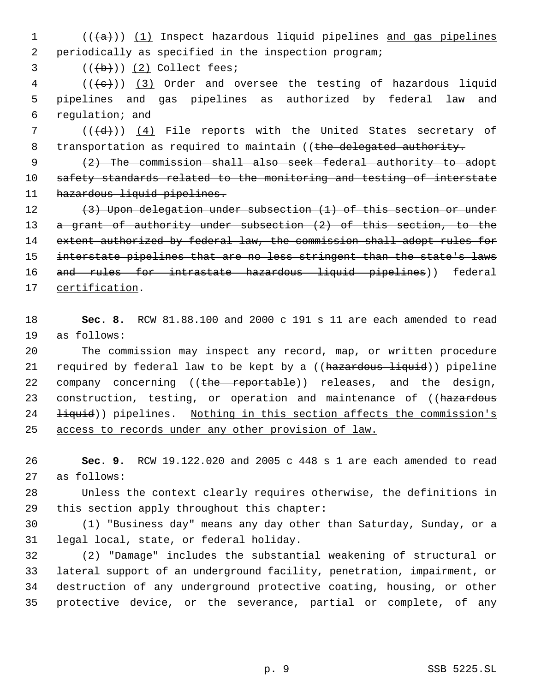(( $\{a\}$ )) (1) Inspect hazardous liquid pipelines and gas pipelines periodically as specified in the inspection program;

 $((\overline{b}))(2)$  Collect fees;

 (( $\left(\frac{1}{e}\right)$ ) (3) Order and oversee the testing of hazardous liquid pipelines and gas pipelines as authorized by federal law and regulation; and

 $((\{d\})$  (4) File reports with the United States secretary of 8 transportation as required to maintain ((the delegated authority.

 (2) The commission shall also seek federal authority to adopt safety standards related to the monitoring and testing of interstate 11 hazardous liquid pipelines.

12 (3) Upon delegation under subsection (1) of this section or under 13 a grant of authority under subsection (2) of this section, to the 14 extent authorized by federal law, the commission shall adopt rules for interstate pipelines that are no less stringent than the state's laws 16 and rules for intrastate hazardous liquid pipelines)) federal 17 certification.

 **Sec. 8.** RCW 81.88.100 and 2000 c 191 s 11 are each amended to read as follows:

 The commission may inspect any record, map, or written procedure 21 required by federal law to be kept by a ((hazardous liquid)) pipeline 22 company concerning ((the reportable)) releases, and the design, 23 construction, testing, or operation and maintenance of ((hazardous 24 <del>liquid</del>)) pipelines. Nothing in this section affects the commission's access to records under any other provision of law.

 **Sec. 9.** RCW 19.122.020 and 2005 c 448 s 1 are each amended to read as follows:

 Unless the context clearly requires otherwise, the definitions in this section apply throughout this chapter:

 (1) "Business day" means any day other than Saturday, Sunday, or a legal local, state, or federal holiday.

 (2) "Damage" includes the substantial weakening of structural or lateral support of an underground facility, penetration, impairment, or destruction of any underground protective coating, housing, or other protective device, or the severance, partial or complete, of any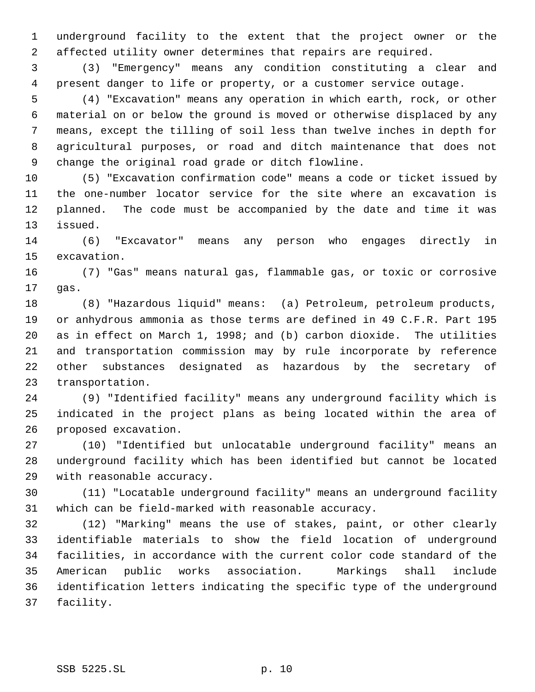underground facility to the extent that the project owner or the affected utility owner determines that repairs are required.

 (3) "Emergency" means any condition constituting a clear and present danger to life or property, or a customer service outage.

 (4) "Excavation" means any operation in which earth, rock, or other material on or below the ground is moved or otherwise displaced by any means, except the tilling of soil less than twelve inches in depth for agricultural purposes, or road and ditch maintenance that does not change the original road grade or ditch flowline.

 (5) "Excavation confirmation code" means a code or ticket issued by the one-number locator service for the site where an excavation is planned. The code must be accompanied by the date and time it was issued.

 (6) "Excavator" means any person who engages directly in excavation.

 (7) "Gas" means natural gas, flammable gas, or toxic or corrosive gas.

 (8) "Hazardous liquid" means: (a) Petroleum, petroleum products, or anhydrous ammonia as those terms are defined in 49 C.F.R. Part 195 as in effect on March 1, 1998; and (b) carbon dioxide. The utilities and transportation commission may by rule incorporate by reference other substances designated as hazardous by the secretary of transportation.

 (9) "Identified facility" means any underground facility which is indicated in the project plans as being located within the area of proposed excavation.

 (10) "Identified but unlocatable underground facility" means an underground facility which has been identified but cannot be located with reasonable accuracy.

 (11) "Locatable underground facility" means an underground facility which can be field-marked with reasonable accuracy.

 (12) "Marking" means the use of stakes, paint, or other clearly identifiable materials to show the field location of underground facilities, in accordance with the current color code standard of the American public works association. Markings shall include identification letters indicating the specific type of the underground facility.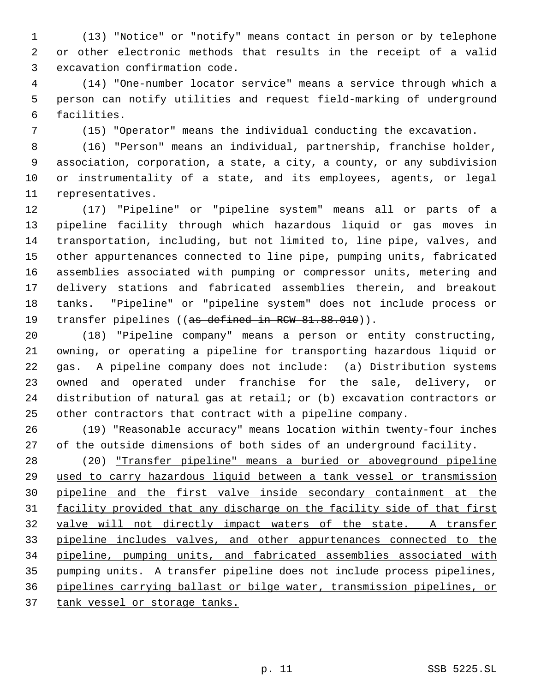(13) "Notice" or "notify" means contact in person or by telephone or other electronic methods that results in the receipt of a valid excavation confirmation code.

 (14) "One-number locator service" means a service through which a person can notify utilities and request field-marking of underground facilities.

(15) "Operator" means the individual conducting the excavation.

 (16) "Person" means an individual, partnership, franchise holder, association, corporation, a state, a city, a county, or any subdivision or instrumentality of a state, and its employees, agents, or legal representatives.

 (17) "Pipeline" or "pipeline system" means all or parts of a pipeline facility through which hazardous liquid or gas moves in transportation, including, but not limited to, line pipe, valves, and other appurtenances connected to line pipe, pumping units, fabricated 16 assemblies associated with pumping or compressor units, metering and delivery stations and fabricated assemblies therein, and breakout tanks. "Pipeline" or "pipeline system" does not include process or 19 transfer pipelines ((as defined in RCW 81.88.010)).

 (18) "Pipeline company" means a person or entity constructing, owning, or operating a pipeline for transporting hazardous liquid or gas. A pipeline company does not include: (a) Distribution systems owned and operated under franchise for the sale, delivery, or distribution of natural gas at retail; or (b) excavation contractors or other contractors that contract with a pipeline company.

 (19) "Reasonable accuracy" means location within twenty-four inches of the outside dimensions of both sides of an underground facility.

 (20) "Transfer pipeline" means a buried or aboveground pipeline used to carry hazardous liquid between a tank vessel or transmission pipeline and the first valve inside secondary containment at the 31 facility provided that any discharge on the facility side of that first valve will not directly impact waters of the state. A transfer pipeline includes valves, and other appurtenances connected to the pipeline, pumping units, and fabricated assemblies associated with pumping units. A transfer pipeline does not include process pipelines, pipelines carrying ballast or bilge water, transmission pipelines, or

37 tank vessel or storage tanks.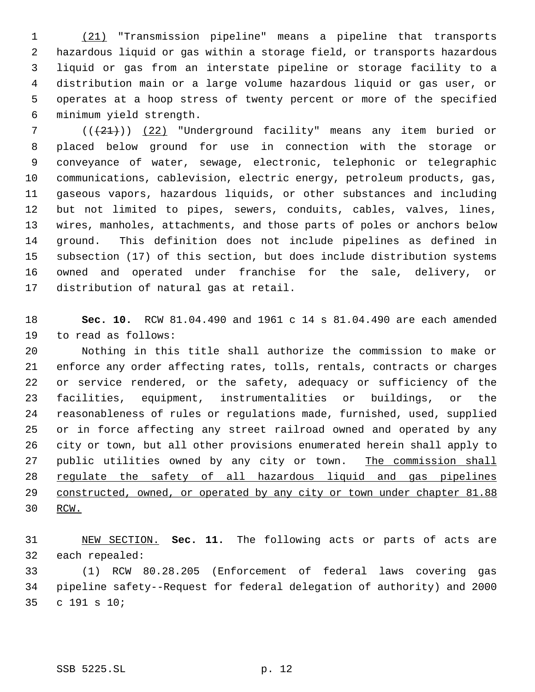(21) "Transmission pipeline" means a pipeline that transports hazardous liquid or gas within a storage field, or transports hazardous liquid or gas from an interstate pipeline or storage facility to a distribution main or a large volume hazardous liquid or gas user, or operates at a hoop stress of twenty percent or more of the specified minimum yield strength.

7 (( $(21)$ )) (22) "Underground facility" means any item buried or placed below ground for use in connection with the storage or conveyance of water, sewage, electronic, telephonic or telegraphic communications, cablevision, electric energy, petroleum products, gas, gaseous vapors, hazardous liquids, or other substances and including but not limited to pipes, sewers, conduits, cables, valves, lines, wires, manholes, attachments, and those parts of poles or anchors below ground. This definition does not include pipelines as defined in subsection (17) of this section, but does include distribution systems owned and operated under franchise for the sale, delivery, or distribution of natural gas at retail.

 **Sec. 10.** RCW 81.04.490 and 1961 c 14 s 81.04.490 are each amended to read as follows:

 Nothing in this title shall authorize the commission to make or enforce any order affecting rates, tolls, rentals, contracts or charges or service rendered, or the safety, adequacy or sufficiency of the facilities, equipment, instrumentalities or buildings, or the reasonableness of rules or regulations made, furnished, used, supplied or in force affecting any street railroad owned and operated by any city or town, but all other provisions enumerated herein shall apply to 27 public utilities owned by any city or town. The commission shall regulate the safety of all hazardous liquid and gas pipelines 29 constructed, owned, or operated by any city or town under chapter 81.88 RCW.

 NEW SECTION. **Sec. 11.** The following acts or parts of acts are each repealed:

 (1) RCW 80.28.205 (Enforcement of federal laws covering gas pipeline safety--Request for federal delegation of authority) and 2000 c 191 s 10;